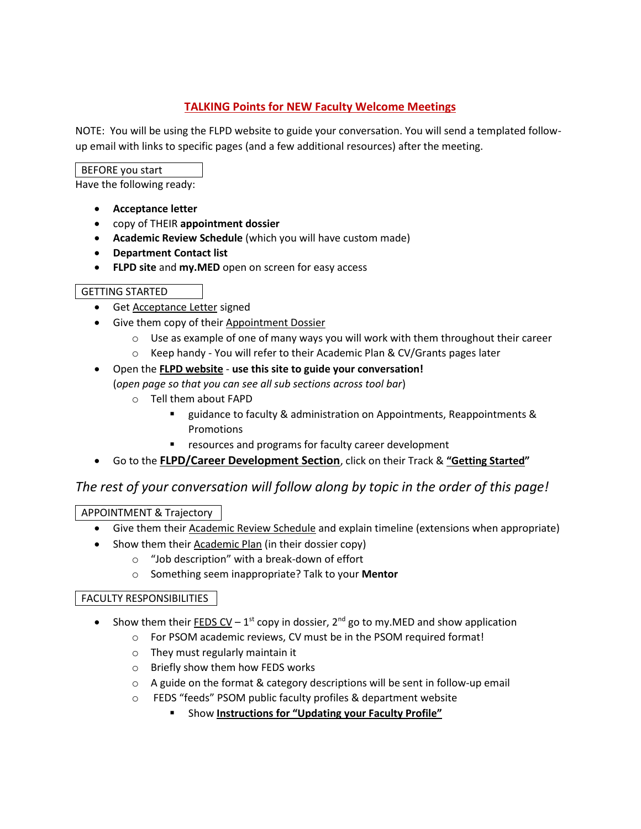# **TALKING Points for NEW Faculty Welcome Meetings**

NOTE: You will be using the FLPD website to guide your conversation. You will send a templated followup email with links to specific pages (and a few additional resources) after the meeting.

### BEFORE you start

Have the following ready:

- **Acceptance letter**
- copy of THEIR **appointment dossier**
- **Academic Review Schedule** (which you will have custom made)
- **Department Contact list**
- **FLPD site** and **my.MED** open on screen for easy access

### GETTING STARTED

- Get Acceptance Letter signed
- Give them copy of their Appointment Dossier
	- $\circ$  Use as example of one of many ways you will work with them throughout their career
	- $\circ$  Keep handy You will refer to their Academic Plan & CV/Grants pages later

#### Open the **FLPD website** - **use this site to guide your conversation!** (*open page so that you can see all sub sections across tool bar*)

- o Tell them about FAPD
	- guidance to faculty & administration on Appointments, Reappointments & Promotions
	- resources and programs for faculty career development
- Go to the **FLPD/Career Development Section**, click on their Track & **"Getting Started"**

# *The rest of your conversation will follow along by topic in the order of this page!*

# APPOINTMENT & Trajectory

- **•** Give them their **Academic Review Schedule** and explain timeline (extensions when appropriate)
- Show them their Academic Plan (in their dossier copy)
	- o "Job description" with a break-down of effort
	- o Something seem inappropriate? Talk to your **Mentor**

### FACULTY RESPONSIBILITIES

- Show them their **FEDS CV** 1<sup>st</sup> copy in dossier, 2<sup>nd</sup> go to my.MED and show application
	- o For PSOM academic reviews, CV must be in the PSOM required format!
		- o They must regularly maintain it
	- o Briefly show them how FEDS works
	- $\circ$  A guide on the format & category descriptions will be sent in follow-up email
	- o FEDS "feeds" PSOM public faculty profiles & department website
		- **EXECUTE: Show Instructions for "Updating your Faculty Profile"**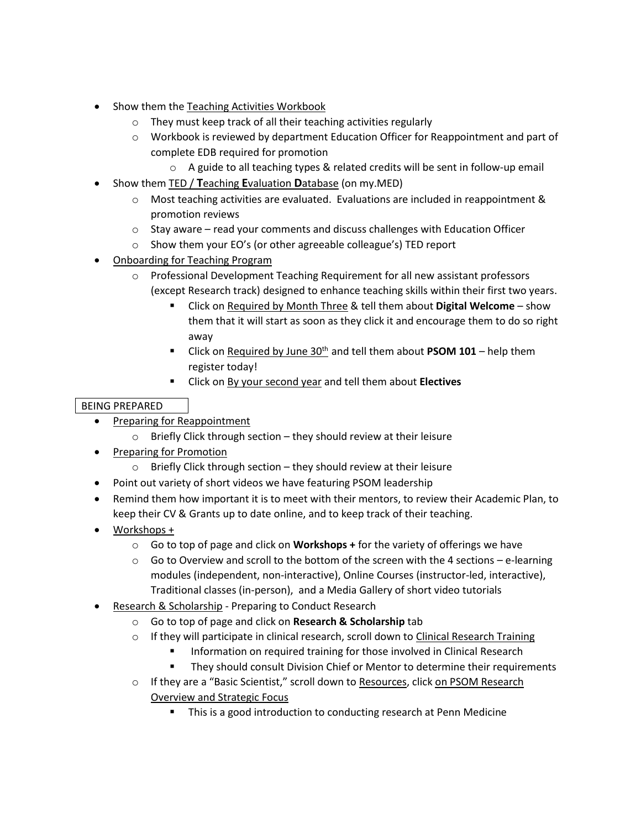- Show them the Teaching Activities Workbook
	- o They must keep track of all their teaching activities regularly
	- $\circ$  Workbook is reviewed by department Education Officer for Reappointment and part of complete EDB required for promotion
		- o A guide to all teaching types & related credits will be sent in follow-up email
- Show them TED / **T**eaching **E**valuation **D**atabase (on my.MED)
	- $\circ$  Most teaching activities are evaluated. Evaluations are included in reappointment & promotion reviews
	- $\circ$  Stay aware read your comments and discuss challenges with Education Officer
	- o Show them your EO's (or other agreeable colleague's) TED report
- Onboarding for Teaching Program
	- o Professional Development Teaching Requirement for all new assistant professors (except Research track) designed to enhance teaching skills within their first two years.
		- Click on Required by Month Three & tell them about **Digital Welcome**  show them that it will start as soon as they click it and encourage them to do so right away
		- **EXECLICE ON REQUITED by June 30<sup>th</sup> and tell them about <b>PSOM 101** help them register today!
		- Click on By your second year and tell them about **Electives**

# BEING PREPARED

- Preparing for Reappointment
	- $\circ$  Briefly Click through section they should review at their leisure
- Preparing for Promotion
	- $\circ$  Briefly Click through section they should review at their leisure
- Point out variety of short videos we have featuring PSOM leadership
- Remind them how important it is to meet with their mentors, to review their Academic Plan, to keep their CV & Grants up to date online, and to keep track of their teaching.
- Workshops +
	- o Go to top of page and click on **Workshops +** for the variety of offerings we have
	- $\circ$  Go to Overview and scroll to the bottom of the screen with the 4 sections e-learning modules (independent, non-interactive), Online Courses (instructor-led, interactive), Traditional classes (in-person), and a Media Gallery of short video tutorials
- Research & Scholarship Preparing to Conduct Research
	- o Go to top of page and click on **Research & Scholarship** tab
	- $\circ$  If they will participate in clinical research, scroll down to Clinical Research Training
		- Information on required training for those involved in Clinical Research
		- **They should consult Division Chief or Mentor to determine their requirements**
	- $\circ$  If they are a "Basic Scientist," scroll down to Resources, click on PSOM Research Overview and Strategic Focus
		- **This is a good introduction to conducting research at Penn Medicine**